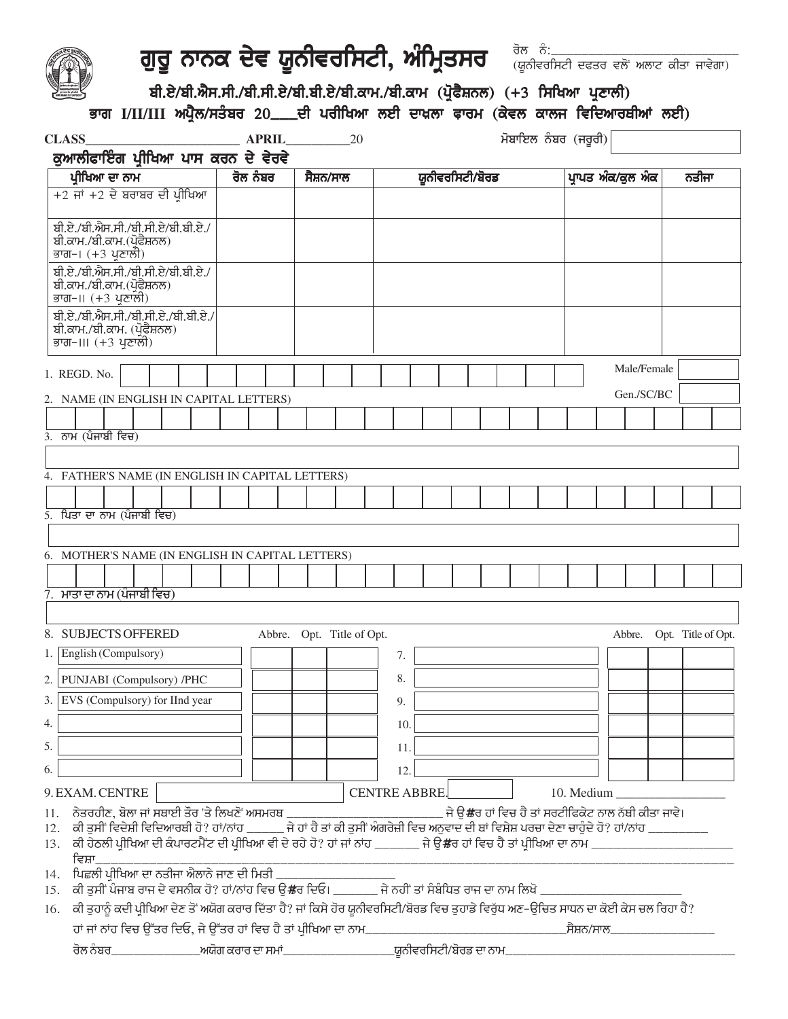

# ਗੁਰੂ ਨਾਨਕ ਦੇਵ ਯੂਨੀਵਰਸਿਟੀ, ਅੰਮ੍ਰਿਤਸਰ ਆਪ੍ਰਿ<sub>ਯੰਕਿਰਸਿਟੀ ਦਫਤਰ ਵਲੋਂ ਅਲਾਟ ਕੀਤਾ ਜਾਵੇਗਾ)</sub>

rol nM:\_\_\_\_\_\_\_\_\_\_\_\_\_\_\_\_\_\_\_\_\_\_\_\_\_

## ਬੀ.ਏ/ਬੀ.ਐਸ.ਸੀ./ਬੀ.ਸੀ.ਏ/ਬੀ.ਬੀ.ਏ/ਬੀ.ਕਾਮ./ਬੀ.ਕਾਮ (ਪ੍ਰੋਫੈਸ਼ਨਲ) (+3 ਸਿਖਿਆ ਪ੍ਰਣਾਲੀ)

### ਭਾਗ I/II/III ਅਪ੍ਰੈਲ/ਸਤੰਬਰ 20\_\_\_ਦੀ ਪਰੀਖਿਆ ਲਈ ਦਾਖ਼ਲਾ ਫਾਰਮ (ਕੇਵਲ ਕਾਲਜ ਵਿਦਿਆਰਥੀਆਂ ਲਈ)

| <b>CLASS</b>                                                                                                                              | <b>APRIL</b> | 20                        |                                                                                                                                           | ਮੋਬਾਇਲ ਨੰਬਰ (ਜਰੂਰੀ)                                            |                          |
|-------------------------------------------------------------------------------------------------------------------------------------------|--------------|---------------------------|-------------------------------------------------------------------------------------------------------------------------------------------|----------------------------------------------------------------|--------------------------|
| ਕੁਆਲੀਫਾਇੰਗ ਪ੍ਰੀਖਿਆ ਪਾਸ ਕਰਨ ਦੇ ਵੇਰਵੇ                                                                                                       |              |                           |                                                                                                                                           |                                                                |                          |
| ਪ੍ਰੀਖਿਆ ਦਾ ਨਾਮ                                                                                                                            | ਰੋਲ ਨੰਬਰ     | ਸੈਸ਼ਨ/ਸਾਲ                 | ਯੂਨੀਵਰਸਿਟੀ/ਬੋਰਡ                                                                                                                           | ਪ੍ਰਾਪਤ ਅੰਕ/ਕੁਲ ਅੰਕ                                             | ਨਤੀਜਾ                    |
| $+2$ ਜਾਂ $+2$ ਦੇ ਬਰਾਬਰ ਦੀ ਪ੍ਰੀਖਿਆ                                                                                                         |              |                           |                                                                                                                                           |                                                                |                          |
| ਬੀ.ਏ./ਬੀ.ਐਸ.ਸੀ./ਬੀ.ਸੀ.ਏ/ਬੀ.ਬੀ.ਏ./<br>ਬੀ.ਕਾਮ./ਬੀ.ਕਾਮ.(ਪ੍ਰੋਫੈਸ਼ਨਲ)<br>ਭਾਗ–। (+3 ਪ੍ਰਣਾਲੀ)                                                    |              |                           |                                                                                                                                           |                                                                |                          |
| ਬੀ.ਏ./ਬੀ.ਐਸ.ਸੀ./ਬੀ.ਸੀ.ਏ/ਬੀ.ਬੀ.ਏ./<br>ਬੀ.ਕਾਮ./ਬੀ.ਕਾਮ.(ਪ੍ਰੋਫੈਸ਼ਨਲ)<br>ਭਾਗ–॥ (+3 ਪ੍ਰਣਾਲੀ)                                                    |              |                           |                                                                                                                                           |                                                                |                          |
| ਬੀ.ਏ./ਬੀ.ਐਸ.ਸੀ./ਬੀ.ਸੀ.ਏ./ਬੀ.ਬੀ.ਏ./<br>ਬੀ.ਕਾਮ./ਬੀ.ਕਾਮ. (ਪ੍ਰੋਫੈਸ਼ਨਲ)<br>ਭਾਗ–।।। (+3 ਪ੍ਰਣਾਲੀ)                                                |              |                           |                                                                                                                                           |                                                                |                          |
| 1. REGD. No.                                                                                                                              |              |                           |                                                                                                                                           | Male/Female                                                    |                          |
| 2. NAME (IN ENGLISH IN CAPITAL LETTERS)                                                                                                   |              |                           |                                                                                                                                           | Gen./SC/BC                                                     |                          |
| $\overline{3.7}$ ਨਾਮ $\overline{3.7}$ (ਪੰਜਾਬੀ ਵਿਚ)                                                                                        |              |                           |                                                                                                                                           |                                                                |                          |
|                                                                                                                                           |              |                           |                                                                                                                                           |                                                                |                          |
| 4. FATHER'S NAME (IN ENGLISH IN CAPITAL LETTERS)                                                                                          |              |                           |                                                                                                                                           |                                                                |                          |
|                                                                                                                                           |              |                           |                                                                                                                                           |                                                                |                          |
| $5.$ ਪਿਤਾ ਦਾ ਨਾਮ (ਪੰਜਾਬੀ ਵਿਚ)                                                                                                             |              |                           |                                                                                                                                           |                                                                |                          |
|                                                                                                                                           |              |                           |                                                                                                                                           |                                                                |                          |
| 6. MOTHER'S NAME (IN ENGLISH IN CAPITAL LETTERS)                                                                                          |              |                           |                                                                                                                                           |                                                                |                          |
| 7. ਮਾਤਾ ਦਾ ਨਾਮ (ਪੰਜਾਬੀ ਵਿਚ)                                                                                                               |              |                           |                                                                                                                                           |                                                                |                          |
|                                                                                                                                           |              |                           |                                                                                                                                           |                                                                |                          |
| 8. SUBJECTS OFFERED                                                                                                                       |              | Abbre. Opt. Title of Opt. |                                                                                                                                           | Abbre.                                                         | Opt. Title of Opt.       |
| 1. English (Compulsory)                                                                                                                   |              |                           | 7.                                                                                                                                        |                                                                |                          |
| 2. PUNJABI (Compulsory) /PHC                                                                                                              |              |                           | 8.                                                                                                                                        |                                                                |                          |
| 3. EVS (Compulsory) for IInd year                                                                                                         |              |                           | 9.                                                                                                                                        |                                                                |                          |
| 4.                                                                                                                                        |              |                           | 10.                                                                                                                                       |                                                                |                          |
| 5.                                                                                                                                        |              |                           | 11.                                                                                                                                       |                                                                |                          |
| 6.                                                                                                                                        |              |                           | 12.                                                                                                                                       |                                                                |                          |
| 9. EXAM. CENTRE                                                                                                                           |              |                           | <b>CENTRE ABBRE.</b>                                                                                                                      | 10. Medium                                                     |                          |
| ਨੇਤਰਹੀਣ, ਬੋਲਾ ਜਾਂ ਸਥਾਈ ਤੌਰ 'ਤੇ ਲਿਖਣੋਂ ਅਸਮਰਥ<br>11.<br>12.<br>ਵਿਸ਼ਾ                                                                        |              |                           | ਕੀ ਤੁਸੀਂ ਵਿਦੇਸ਼ੀ ਵਿਦਿਆਰਥੀ ਹੋ? ਹਾਂ/ਨਾਂਹ _____ ਜੇ ਹਾਂ ਹੈ ਤਾਂ ਕੀ ਤੁਸੀਂ ਅੰਗਰੇਜ਼ੀ ਵਿਚ ਅਨੁਵਾਦ ਦੀ ਥਾਂ ਵਿਸ਼ੇਸ਼ ਪਰਚਾ ਦੇਣਾ ਚਾਹੁੰਦੇ ਹੋ? ਹਾਂ/ਨਾਂਹ ___ | ਜੇ ੳ਼ <b>ਂ</b> ਲਰ ਹਾਂ ਵਿਚ ਹੈ ਤਾਂ ਸਰਟੀਫਿਕੇਟ ਨਾਲ ਨੱਬੀ ਕੀਤਾ ਜਾਵੇ। | $\overline{\phantom{a}}$ |
| 14. ਪਿਛਲੀ ਪੀਖਿਆ ਦਾ ਨਤੀਜਾ ਐਲਾਨੇ ਜਾਣ ਦੀ ਮਿਤੀ<br>15.                                                                                         |              |                           | ਕੀ ਤੁਸੀਂ ਪੰਜਾਬ ਰਾਜ ਦੇ ਵਸਨੀਕ ਹੋ? ਹਾਂ/ਨਾਂਹ ਵਿਚ ਉਂਲਰ ਦਿਓ। ______ ਜੇ ਨਹੀਂ ਤਾਂ ਸੰਬੰਧਿਤ ਰਾਜ ਦਾ ਨਾਮ ਲਿਖੋ                                         |                                                                |                          |
| 16. ਕੀ ਤੁਹਾਨੂੰ ਕਦੀ ਪ੍ਰੀਖਿਆ ਦੇਣ ਤੋਂ ਅਯੋਗ ਕਰਾਰ ਦਿੱਤਾ ਹੈ? ਜਾਂ ਕਿਸੇ ਹੋਰ ਯੂਨੀਵਰਸਿਟੀ/ਬੋਰਡ ਵਿਚ ਤੁਹਾਡੇ ਵਿਰੁੱਧ ਅਣ–ਉਚਿਤ ਸਾਧਨ ਦਾ ਕੋਈ ਕੇਸ ਚਲ ਰਿਹਾ ਹੈ? |              |                           |                                                                                                                                           |                                                                |                          |
| ਹਾਂ ਜਾਂ ਨਾਂਹ ਵਿਚ ਉੱਤਰ ਦਿਓ, ਜੇ ਉੱਤਰ ਹਾਂ ਵਿਚ ਹੈ ਤਾਂ ਪੀਖਿਆ ਦਾ ਨਾਮ_                                                                           |              |                           |                                                                                                                                           | _ਸੈਸ਼ਨ/ਸਾਲ_                                                    |                          |
|                                                                                                                                           |              |                           | ਰੋਲ ਨੰਬਰ___________________ਅਯੋਗ ਕਰਾਰ ਦਾ ਸਮਾਂ____________________________ਯੂਨੀਵਰਸਿਟੀ/ਬੋਰਡ ਦਾ ਨਾਮ_                                           |                                                                |                          |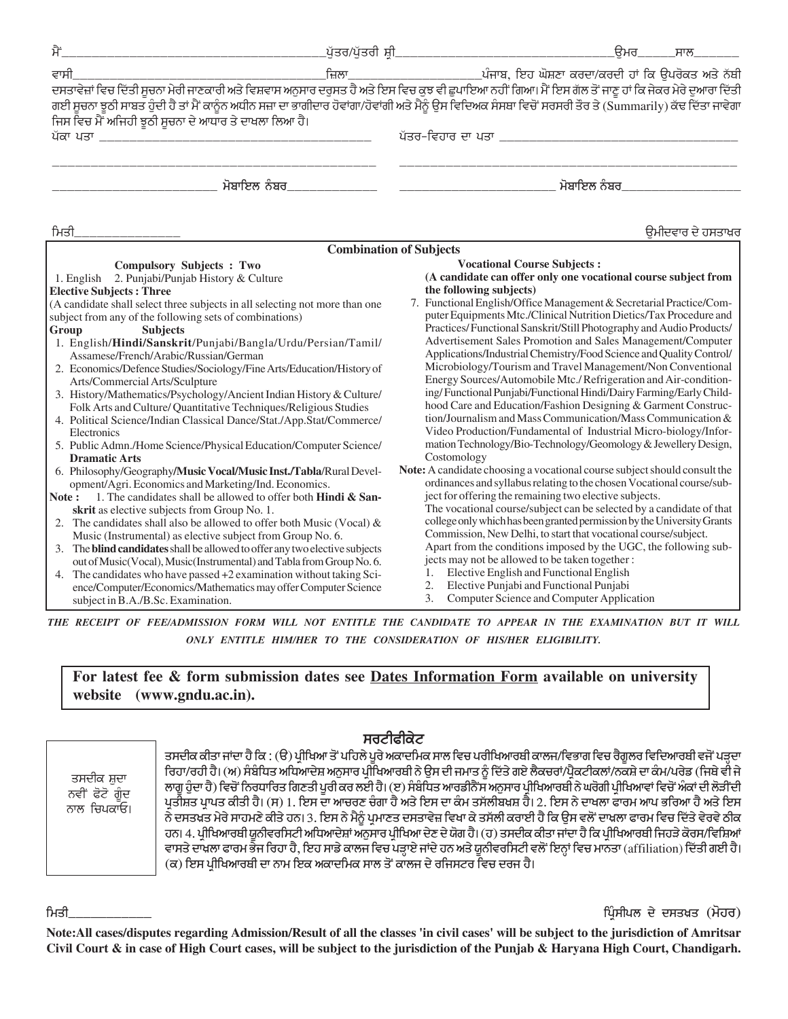| ਮੈਂ                                                                                                                                                                                                                                                                                                                                                                                                                                                                                                                                                                                                                                                                                                                                                                                                                                                                                                                                                                                                                                                                                                                                                                                                                                                                                                                                                                                                                                                                                                                                                                                                           | _ਪੁੱਤਰ/ਪੁੱਤਰੀ ਸ਼ੀ <i>_</i>     | ੁੳਮਰ<br>ਸਾਲ                                                                                                                                                                                                                                                                                                                                                                                                                                                                                                                                                                                                                                                                                                                                                                                                                                                                                                                                                                                                                                                                                                                                                                                                                                                                                                                                                                                                                                                                                                                                                                                                                                                                                            |
|---------------------------------------------------------------------------------------------------------------------------------------------------------------------------------------------------------------------------------------------------------------------------------------------------------------------------------------------------------------------------------------------------------------------------------------------------------------------------------------------------------------------------------------------------------------------------------------------------------------------------------------------------------------------------------------------------------------------------------------------------------------------------------------------------------------------------------------------------------------------------------------------------------------------------------------------------------------------------------------------------------------------------------------------------------------------------------------------------------------------------------------------------------------------------------------------------------------------------------------------------------------------------------------------------------------------------------------------------------------------------------------------------------------------------------------------------------------------------------------------------------------------------------------------------------------------------------------------------------------|--------------------------------|--------------------------------------------------------------------------------------------------------------------------------------------------------------------------------------------------------------------------------------------------------------------------------------------------------------------------------------------------------------------------------------------------------------------------------------------------------------------------------------------------------------------------------------------------------------------------------------------------------------------------------------------------------------------------------------------------------------------------------------------------------------------------------------------------------------------------------------------------------------------------------------------------------------------------------------------------------------------------------------------------------------------------------------------------------------------------------------------------------------------------------------------------------------------------------------------------------------------------------------------------------------------------------------------------------------------------------------------------------------------------------------------------------------------------------------------------------------------------------------------------------------------------------------------------------------------------------------------------------------------------------------------------------------------------------------------------------|
|                                                                                                                                                                                                                                                                                                                                                                                                                                                                                                                                                                                                                                                                                                                                                                                                                                                                                                                                                                                                                                                                                                                                                                                                                                                                                                                                                                                                                                                                                                                                                                                                               |                                |                                                                                                                                                                                                                                                                                                                                                                                                                                                                                                                                                                                                                                                                                                                                                                                                                                                                                                                                                                                                                                                                                                                                                                                                                                                                                                                                                                                                                                                                                                                                                                                                                                                                                                        |
| ਜਿਸ ਵਿਚ ਮੈਂ ਅਜਿਹੀ ਝੁਠੀ ਸੁਚਨਾ ਦੇ ਆਧਾਰ ਤੇ ਦਾਖਲਾ ਲਿਆ ਹੈ।<br>ਪੱਕਾ ਪਤਾ                                                                                                                                                                                                                                                                                                                                                                                                                                                                                                                                                                                                                                                                                                                                                                                                                                                                                                                                                                                                                                                                                                                                                                                                                                                                                                                                                                                                                                                                                                                                             |                                | ਗਈ ਸੂਚਨਾ ਝੁਠੀ ਸਾਬਤ ਹੁੰਦੀ ਹੈ ਤਾਂ ਮੈਂ ਕਾਨੂੰਨ ਅਧੀਨ ਸਜ਼ਾ ਦਾ ਭਾਗੀਦਾਰ ਹੋਵਾਂਗਾ/ਹੋਵਾਂਗੀ ਅਤੇ ਮੈਨੂੰ ਉਸ ਵਿਦਿਅਕ ਸੰਸਥਾ ਵਿਚੋਂ ਸਰਸਰੀ ਤੌਰ ਤੇ (Summarily) ਕੱਢ ਦਿੱਤਾ ਜਾਵੇਗਾ                                                                                                                                                                                                                                                                                                                                                                                                                                                                                                                                                                                                                                                                                                                                                                                                                                                                                                                                                                                                                                                                                                                                                                                                                                                                                                                                                                                                                                                                                                                                              |
| ਮੋਬਾਇਲ ਨੰਬਰ                                                                                                                                                                                                                                                                                                                                                                                                                                                                                                                                                                                                                                                                                                                                                                                                                                                                                                                                                                                                                                                                                                                                                                                                                                                                                                                                                                                                                                                                                                                                                                                                   |                                | ਮੋਬਾਇਲ ਨੰਬਰ                                                                                                                                                                                                                                                                                                                                                                                                                                                                                                                                                                                                                                                                                                                                                                                                                                                                                                                                                                                                                                                                                                                                                                                                                                                                                                                                                                                                                                                                                                                                                                                                                                                                                            |
| ਮਿਤੀ                                                                                                                                                                                                                                                                                                                                                                                                                                                                                                                                                                                                                                                                                                                                                                                                                                                                                                                                                                                                                                                                                                                                                                                                                                                                                                                                                                                                                                                                                                                                                                                                          |                                | ੳਮੀਦਵਾਰ ਦੇ ਹਸਤਾਖ਼ਰ                                                                                                                                                                                                                                                                                                                                                                                                                                                                                                                                                                                                                                                                                                                                                                                                                                                                                                                                                                                                                                                                                                                                                                                                                                                                                                                                                                                                                                                                                                                                                                                                                                                                                     |
|                                                                                                                                                                                                                                                                                                                                                                                                                                                                                                                                                                                                                                                                                                                                                                                                                                                                                                                                                                                                                                                                                                                                                                                                                                                                                                                                                                                                                                                                                                                                                                                                               | <b>Combination of Subjects</b> |                                                                                                                                                                                                                                                                                                                                                                                                                                                                                                                                                                                                                                                                                                                                                                                                                                                                                                                                                                                                                                                                                                                                                                                                                                                                                                                                                                                                                                                                                                                                                                                                                                                                                                        |
| <b>Compulsory Subjects : Two</b><br>2. Punjabi/Punjab History & Culture<br>1. English<br><b>Elective Subjects: Three</b><br>(A candidate shall select three subjects in all selecting not more than one<br>subject from any of the following sets of combinations)<br>Group<br><b>Subjects</b><br>1. English/Hindi/Sanskrit/Punjabi/Bangla/Urdu/Persian/Tamil/<br>Assamese/French/Arabic/Russian/German<br>2. Economics/Defence Studies/Sociology/Fine Arts/Education/History of<br>Arts/Commercial Arts/Sculpture<br>3. History/Mathematics/Psychology/Ancient Indian History & Culture/<br>Folk Arts and Culture/ Quantitative Techniques/Religious Studies<br>4. Political Science/Indian Classical Dance/Stat./App.Stat/Commerce/<br>Electronics<br>5. Public Admn./Home Science/Physical Education/Computer Science/<br><b>Dramatic Arts</b><br>6. Philosophy/Geography/Music Vocal/Music Inst./Tabla/Rural Devel-<br>opment/Agri. Economics and Marketing/Ind. Economics.<br>1. The candidates shall be allowed to offer both <b>Hindi &amp; San-</b><br>Note :<br>skrit as elective subjects from Group No. 1.<br>2. The candidates shall also be allowed to offer both Music (Vocal) $\&$<br>Music (Instrumental) as elective subject from Group No. 6.<br>3. The <b>blind candidates</b> shall be allowed to offer any two elective subjects<br>out of Music(Vocal), Music(Instrumental) and Tabla from Group No. 6.<br>4. The candidates who have passed +2 examination without taking Sci-<br>ence/Computer/Economics/Mathematics may offer Computer Science<br>subject in B.A./B.Sc. Examination. |                                | <b>Vocational Course Subjects:</b><br>(A candidate can offer only one vocational course subject from<br>the following subjects)<br>7. Functional English/Office Management & Secretarial Practice/Com-<br>puter Equipments Mtc./Clinical Nutrition Dietics/Tax Procedure and<br>Practices/Functional Sanskrit/Still Photography and Audio Products/<br>Advertisement Sales Promotion and Sales Management/Computer<br>Applications/Industrial Chemistry/Food Science and Quality Control/<br>Microbiology/Tourism and Travel Management/Non Conventional<br>Energy Sources/Automobile Mtc./Refrigeration and Air-condition-<br>ing/Functional Punjabi/Functional Hindi/Dairy Farming/Early Child-<br>hood Care and Education/Fashion Designing & Garment Construc-<br>tion/Journalism and Mass Communication/Mass Communication &<br>Video Production/Fundamental of Industrial Micro-biology/Infor-<br>mation Technology/Bio-Technology/Geomology & Jewellery Design,<br>Costomology<br>Note: A candidate choosing a vocational course subject should consult the<br>ordinances and syllabus relating to the chosen Vocational course/sub-<br>ject for offering the remaining two elective subjects.<br>The vocational course/subject can be selected by a candidate of that<br>college only which has been granted permission by the University Grants<br>Commission, New Delhi, to start that vocational course/subject.<br>Apart from the conditions imposed by the UGC, the following sub-<br>jects may not be allowed to be taken together:<br>Elective English and Functional English<br>1.<br>Elective Punjabi and Functional Punjabi<br>2.<br>3.<br>Computer Science and Computer Application |

THE RECEIPT OF FEE/ADMISSION FORM WILL NOT ENTITLE THE CANDIDATE TO APPEAR IN THE EXAMINATION BUT IT WILL ONLY ENTITLE HIM/HER TO THE CONSIDERATION OF HIS/HER ELIGIBILITY.

For latest fee & form submission dates see Dates Information Form available on university website (www.gndu.ac.in).

ਤਸਦੀਕ ਸ਼ੁਦਾ ਨਵੀਂ ਫੋਟੋ ਗੰਦ ਨਾਲ ਚਿਪਕਾਓ।

#### ਸਰਟੀਫੀਕੇਟ

ਤਸਦੀਕ ਕੀਤਾ ਜਾਂਦਾ ਹੈ ਕਿ : (ੳ) ਪ੍ਰੀਖਿਆ ਤੋਂ ਪਹਿਲੇ ਪੁਰੇ ਅਕਾਦਮਿਕ ਸਾਲ ਵਿਚ ਪਰੀਖਿਆਰਬੀ ਕਾਲਜ/ਵਿਭਾਗ ਵਿਚ ਰੈਗੂਲਰ ਵਿਦਿਆਰਬੀ ਵਜੋਂ ਪੜ੍ਹਦਾ ਰਿਹਾ/ਰਹੀ ਹੈ। (ਅ) ਸੰਬੰਧਿਤ ਅਧਿਆਦੇਸ਼ ਅਨੁਸਾਰ ਪ੍ਰੀਖਿਆਰਬੀ ਨੇ ਉਸ ਦੀ ਜਮਾਤ ਨੂੰ ਦਿੱਤੇ ਗਏ ਲੈਕਚਰਾਂ/ਪ੍ਰੈਕਟੀਕਲਾਂ/ਨਕਸ਼ੇ ਦਾ ਕੰਮ/ਪਰੇਡ (ਜਿਥੇ ਵੀ ਜੇ ਲਾਗੁ ਹੁੰਦਾ ਹੈ) ਵਿਚੋਂ ਨਿਰਧਾਰਿਤ ਗਿਣਤੀ ਪੂਰੀ ਕਰ ਲਈ ਹੈ। (ੲ) ਸੰਬੰਧਿਤ ਆਰਡੀਨੈੱਸ ਅਨੁਸਾਰ ਪ੍ਰੀਖਿਆਰਥੀ ਨੇ ਘਰੋਗੀ ਪ੍ਰੀਖਿਆਵਾਂ ਵਿਚੋਂ ਅੰਕਾਂ ਦੀ ਲੋੜੀਂਦੀ ਪ੍ਰਤੀਸ਼ਤ ਪ੍ਰਾਪਤ ਕੀਤੀ ਹੈ। (ਸ) 1. ਇਸ ਦਾ ਆਚਰਣ ਚੰਗਾ ਹੈ ਅਤੇ ਇਸ ਦਾ ਕੰਮ ਤਸੱਲੀਬਖਸ਼ ਹੈ। 2. ਇਸ ਨੇ ਦਾਖਲਾ ਫਾਰਮ ਆਪ ਭਰਿਆ ਹੈ ਅਤੇ ਇਸ ਨੇ ਦਸਤਖਤ ਮੇਰੇ ਸਾਹਮਣੇ ਕੀਤੇ ਹਨ। 3. ਇਸ ਨੇ ਮੈਨੂੰ ਪ੍ਰਮਾਣਤ ਦਸਤਾਵੇਜ਼ ਵਿਖਾ ਕੇ ਤਸੱਲੀ ਕਰਾਈ ਹੈ ਕਿ ਉਸ ਵਲੋਂ ਦਾਖ਼ਲਾ ਫਾਰਮ ਵਿਚ ਦਿੱਤੇ ਵੇਰਵੇ ਠੀਕ ਹਨ। 4. ਪ੍ਰੀਖਿਆਰਬੀ ਯੂਨੀਵਰਸਿਟੀ ਅਧਿਆਦੇਸ਼ਾਂ ਅਨੁਸਾਰ ਪ੍ਰੀਖਿਆ ਦੇਣ ਦੇ ਯੋਗ ਹੈ। (ਹ) ਤਸਦੀਕ ਕੀਤਾ ਜਾਂਦਾ ਹੈ ਕਿ ਪ੍ਰੀਖਿਆਰਬੀ ਜਿਹੜੇ ਕੋਰਸ/ਵਿਸ਼ਿਆਂ ਵਾਸਤੇ ਦਾਖ਼ਲਾ ਫਾਰਮ ਭੇਜ ਰਿਹਾ ਹੈ, ਇਹ ਸਾਡੇ ਕਾਲਜ ਵਿਚ ਪੜ੍ਹਾਏ ਜਾਂਦੇ ਹਨ ਅਤੇ ਯੂਨੀਵਰਸਿਟੀ ਵਲੋਂ ਇਨ੍ਹਾਂ ਵਿਚ ਮਾਨਤਾ (affiliation) ਦਿੱਤੀ ਗਈ ਹੈ। (ਕ) ਇਸ ਪ੍ਰੀਖਿਆਰਥੀ ਦਾ ਨਾਮ ਇਕ ਅਕਾਦਮਿਕ ਸਾਲ ਤੋਂ ਕਾਲਜ ਦੇ ਰਜਿਸਟਰ ਵਿਚ ਦਰਜ ਹੈ।

ਮਿਤੀ

ਪਿੰਸੀਪਲ ਦੇ ਦਸਤਖ਼ਤ (ਮੋਹਰ)

Note: All cases/disputes regarding Admission/Result of all the classes 'in civil cases' will be subject to the jurisdiction of Amritsar Civil Court & in case of High Court cases, will be subject to the jurisdiction of the Punjab & Haryana High Court, Chandigarh.